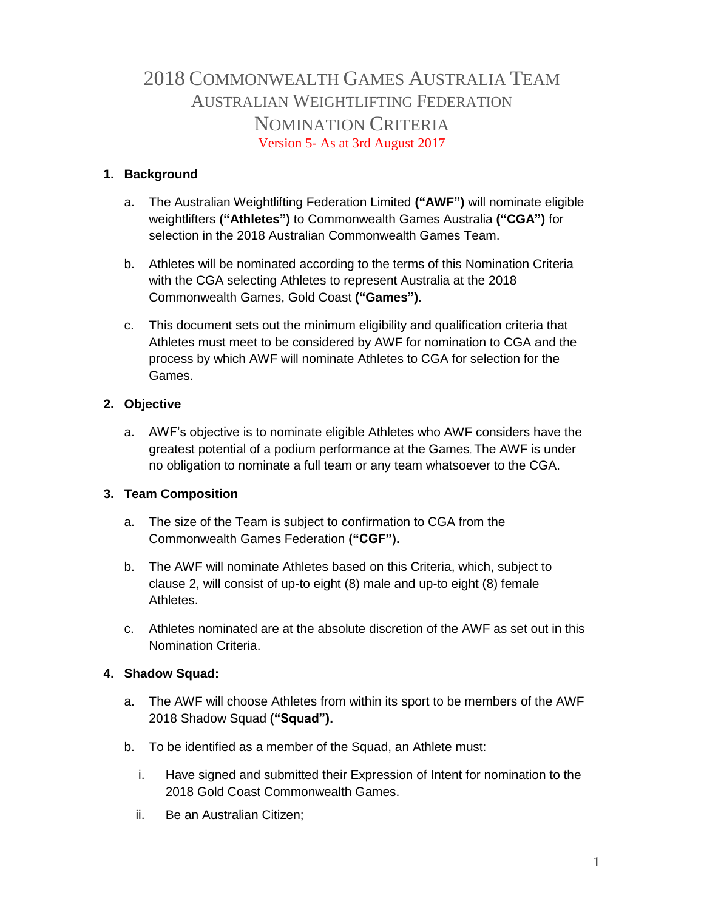# 2018 COMMONWEALTH GAMES AUSTRALIA TEAM AUSTRALIAN WEIGHTLIFTING FEDERATION NOMINATION CRITERIA Version 5- As at 3rd August 2017

# **1. Background**

- a. The Australian Weightlifting Federation Limited **("AWF")** will nominate eligible weightlifters **("Athletes")** to Commonwealth Games Australia **("CGA")** for selection in the 2018 Australian Commonwealth Games Team.
- b. Athletes will be nominated according to the terms of this Nomination Criteria with the CGA selecting Athletes to represent Australia at the 2018 Commonwealth Games, Gold Coast **("Games")**.
- c. This document sets out the minimum eligibility and qualification criteria that Athletes must meet to be considered by AWF for nomination to CGA and the process by which AWF will nominate Athletes to CGA for selection for the Games.

# **2. Objective**

a. AWF's objective is to nominate eligible Athletes who AWF considers have the greatest potential of a podium performance at the Games. The AWF is under no obligation to nominate a full team or any team whatsoever to the CGA.

# **3. Team Composition**

- a. The size of the Team is subject to confirmation to CGA from the Commonwealth Games Federation **("CGF").**
- b. The AWF will nominate Athletes based on this Criteria, which, subject to clause 2, will consist of up-to eight (8) male and up-to eight (8) female Athletes.
- c. Athletes nominated are at the absolute discretion of the AWF as set out in this Nomination Criteria.

# **4. Shadow Squad:**

- a. The AWF will choose Athletes from within its sport to be members of the AWF 2018 Shadow Squad **("Squad").**
- b. To be identified as a member of the Squad, an Athlete must:
	- i. Have signed and submitted their Expression of Intent for nomination to the 2018 Gold Coast Commonwealth Games.
	- ii. Be an Australian Citizen;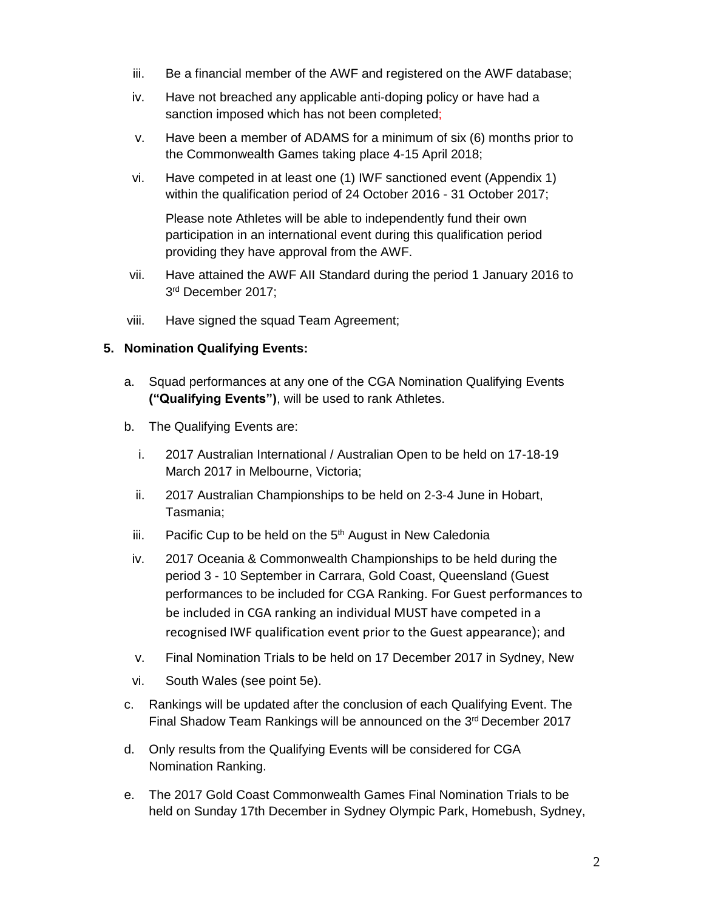- iii. Be a financial member of the AWF and registered on the AWF database;
- iv. Have not breached any applicable anti-doping policy or have had a sanction imposed which has not been completed;
- v. Have been a member of ADAMS for a minimum of six (6) months prior to the Commonwealth Games taking place 4-15 April 2018;
- vi. Have competed in at least one (1) IWF sanctioned event (Appendix 1) within the qualification period of 24 October 2016 - 31 October 2017;

Please note Athletes will be able to independently fund their own participation in an international event during this qualification period providing they have approval from the AWF.

- vii. Have attained the AWF AII Standard during the period 1 January 2016 to 3 rd December 2017;
- viii. Have signed the squad Team Agreement;

#### **5. Nomination Qualifying Events:**

- a. Squad performances at any one of the CGA Nomination Qualifying Events **("Qualifying Events")**, will be used to rank Athletes.
- b. The Qualifying Events are:
	- i. 2017 Australian International / Australian Open to be held on 17-18-19 March 2017 in Melbourne, Victoria;
	- ii. 2017 Australian Championships to be held on 2-3-4 June in Hobart, Tasmania;
	- iii. Pacific Cup to be held on the  $5<sup>th</sup>$  August in New Caledonia
	- iv. 2017 Oceania & Commonwealth Championships to be held during the period 3 - 10 September in Carrara, Gold Coast, Queensland (Guest performances to be included for CGA Ranking. For Guest performances to be included in CGA ranking an individual MUST have competed in a recognised IWF qualification event prior to the Guest appearance); and
	- v. Final Nomination Trials to be held on 17 December 2017 in Sydney, New
	- vi. South Wales (see point 5e).
- c. Rankings will be updated after the conclusion of each Qualifying Event. The Final Shadow Team Rankings will be announced on the 3rd December 2017
- d. Only results from the Qualifying Events will be considered for CGA Nomination Ranking.
- e. The 2017 Gold Coast Commonwealth Games Final Nomination Trials to be held on Sunday 17th December in Sydney Olympic Park, Homebush, Sydney,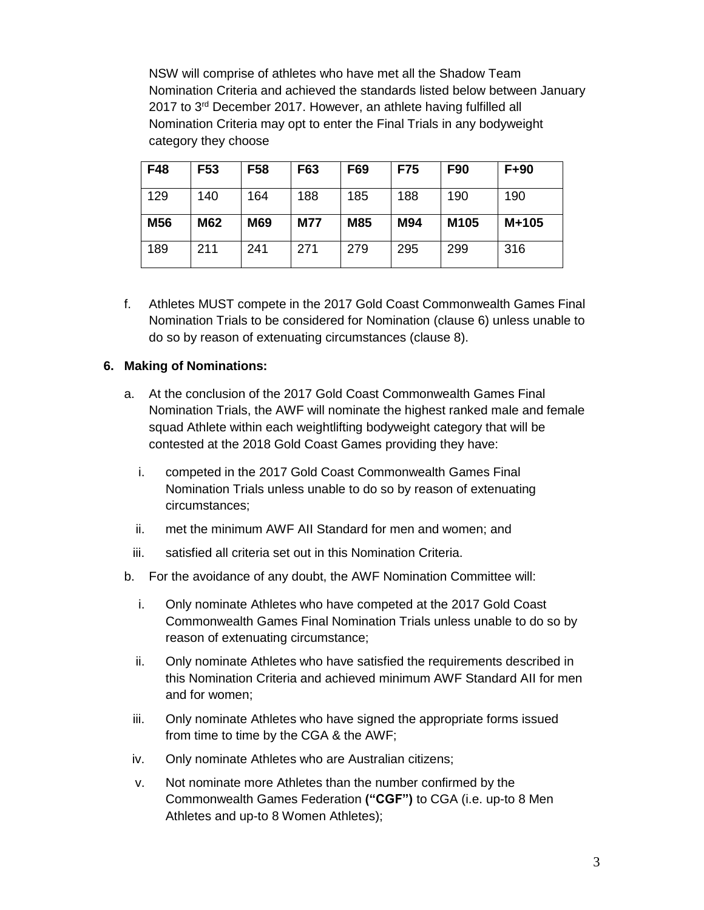NSW will comprise of athletes who have met all the Shadow Team Nomination Criteria and achieved the standards listed below between January 2017 to 3<sup>rd</sup> December 2017. However, an athlete having fulfilled all Nomination Criteria may opt to enter the Final Trials in any bodyweight category they choose

| F48 | F53        | F58 | F63        | F69 | <b>F75</b> | <b>F90</b> | $F+90$  |
|-----|------------|-----|------------|-----|------------|------------|---------|
| 129 | 140        | 164 | 188        | 185 | 188        | 190        | 190     |
| M56 | <b>M62</b> | M69 | <b>M77</b> | M85 | <b>M94</b> | M105       | $M+105$ |
| 189 | 211        | 241 | 271        | 279 | 295        | 299        | 316     |

f. Athletes MUST compete in the 2017 Gold Coast Commonwealth Games Final Nomination Trials to be considered for Nomination (clause 6) unless unable to do so by reason of extenuating circumstances (clause 8).

## **6. Making of Nominations:**

- a. At the conclusion of the 2017 Gold Coast Commonwealth Games Final Nomination Trials, the AWF will nominate the highest ranked male and female squad Athlete within each weightlifting bodyweight category that will be contested at the 2018 Gold Coast Games providing they have:
	- i. competed in the 2017 Gold Coast Commonwealth Games Final Nomination Trials unless unable to do so by reason of extenuating circumstances;
	- ii. met the minimum AWF AII Standard for men and women; and
	- iii. satisfied all criteria set out in this Nomination Criteria.
- b. For the avoidance of any doubt, the AWF Nomination Committee will:
	- i. Only nominate Athletes who have competed at the 2017 Gold Coast Commonwealth Games Final Nomination Trials unless unable to do so by reason of extenuating circumstance;
	- ii. Only nominate Athletes who have satisfied the requirements described in this Nomination Criteria and achieved minimum AWF Standard AII for men and for women;
	- iii. Only nominate Athletes who have signed the appropriate forms issued from time to time by the CGA & the AWF;
	- iv. Only nominate Athletes who are Australian citizens;
	- v. Not nominate more Athletes than the number confirmed by the Commonwealth Games Federation **("CGF")** to CGA (i.e. up-to 8 Men Athletes and up-to 8 Women Athletes);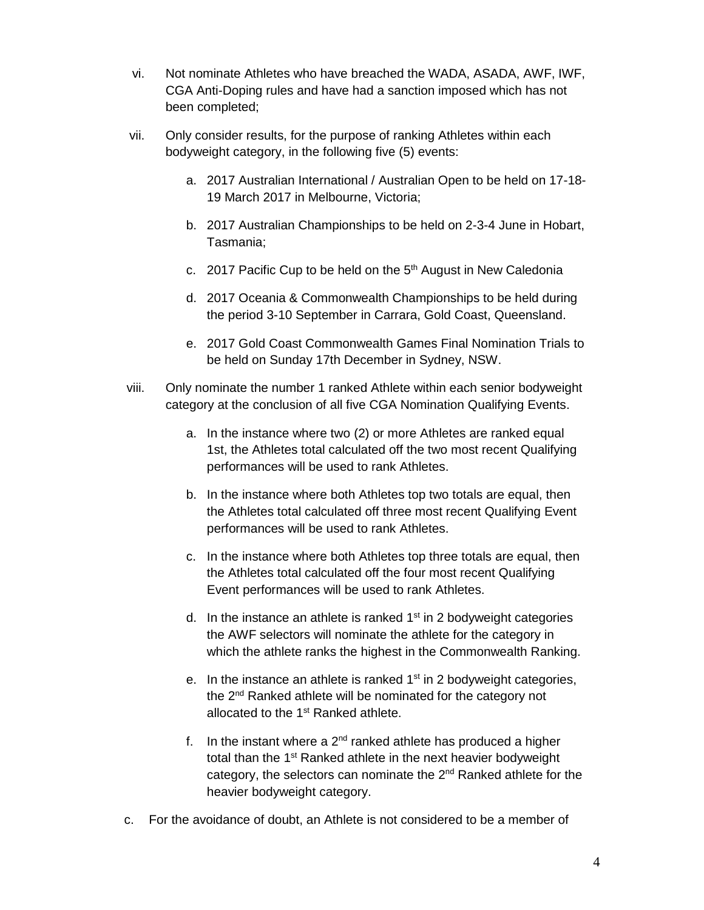- vi. Not nominate Athletes who have breached the WADA, ASADA, AWF, IWF, CGA Anti-Doping rules and have had a sanction imposed which has not been completed;
- vii. Only consider results, for the purpose of ranking Athletes within each bodyweight category, in the following five (5) events:
	- a. 2017 Australian International / Australian Open to be held on 17-18- 19 March 2017 in Melbourne, Victoria;
	- b. 2017 Australian Championships to be held on 2-3-4 June in Hobart, Tasmania;
	- c. 2017 Pacific Cup to be held on the  $5<sup>th</sup>$  August in New Caledonia
	- d. 2017 Oceania & Commonwealth Championships to be held during the period 3-10 September in Carrara, Gold Coast, Queensland.
	- e. 2017 Gold Coast Commonwealth Games Final Nomination Trials to be held on Sunday 17th December in Sydney, NSW.
- viii. Only nominate the number 1 ranked Athlete within each senior bodyweight category at the conclusion of all five CGA Nomination Qualifying Events.
	- a. In the instance where two (2) or more Athletes are ranked equal 1st, the Athletes total calculated off the two most recent Qualifying performances will be used to rank Athletes.
	- b. In the instance where both Athletes top two totals are equal, then the Athletes total calculated off three most recent Qualifying Event performances will be used to rank Athletes.
	- c. In the instance where both Athletes top three totals are equal, then the Athletes total calculated off the four most recent Qualifying Event performances will be used to rank Athletes.
	- d. In the instance an athlete is ranked  $1<sup>st</sup>$  in 2 bodyweight categories the AWF selectors will nominate the athlete for the category in which the athlete ranks the highest in the Commonwealth Ranking.
	- e. In the instance an athlete is ranked  $1<sup>st</sup>$  in 2 bodyweight categories, the 2<sup>nd</sup> Ranked athlete will be nominated for the category not allocated to the 1<sup>st</sup> Ranked athlete.
	- f. In the instant where a  $2^{nd}$  ranked athlete has produced a higher total than the 1<sup>st</sup> Ranked athlete in the next heavier bodyweight category, the selectors can nominate the 2<sup>nd</sup> Ranked athlete for the heavier bodyweight category.
- c. For the avoidance of doubt, an Athlete is not considered to be a member of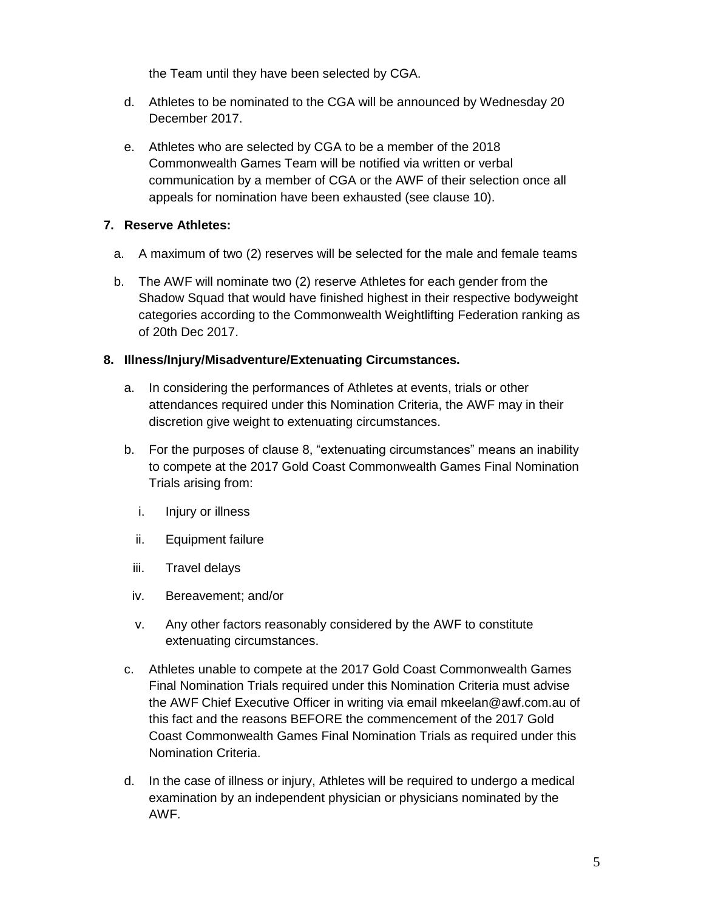the Team until they have been selected by CGA.

- d. Athletes to be nominated to the CGA will be announced by Wednesday 20 December 2017.
- e. Athletes who are selected by CGA to be a member of the 2018 Commonwealth Games Team will be notified via written or verbal communication by a member of CGA or the AWF of their selection once all appeals for nomination have been exhausted (see clause 10).

# **7. Reserve Athletes:**

- a. A maximum of two (2) reserves will be selected for the male and female teams
- b. The AWF will nominate two (2) reserve Athletes for each gender from the Shadow Squad that would have finished highest in their respective bodyweight categories according to the Commonwealth Weightlifting Federation ranking as of 20th Dec 2017.

# **8. Illness/Injury/Misadventure/Extenuating Circumstances.**

- a. In considering the performances of Athletes at events, trials or other attendances required under this Nomination Criteria, the AWF may in their discretion give weight to extenuating circumstances.
- b. For the purposes of clause 8, "extenuating circumstances" means an inability to compete at the 2017 Gold Coast Commonwealth Games Final Nomination Trials arising from:
	- i. Injury or illness
	- ii. Equipment failure
	- iii. Travel delays
	- iv. Bereavement; and/or
	- v. Any other factors reasonably considered by the AWF to constitute extenuating circumstances.
- c. Athletes unable to compete at the 2017 Gold Coast Commonwealth Games Final Nomination Trials required under this Nomination Criteria must advise the AWF Chief Executive Officer in writing via email [mkeelan@awf.com.au](mailto:mkeelan@awf.com.au) of this fact and the reasons BEFORE the commencement of the 2017 Gold Coast Commonwealth Games Final Nomination Trials as required under this Nomination Criteria.
- d. In the case of illness or injury, Athletes will be required to undergo a medical examination by an independent physician or physicians nominated by the AWF.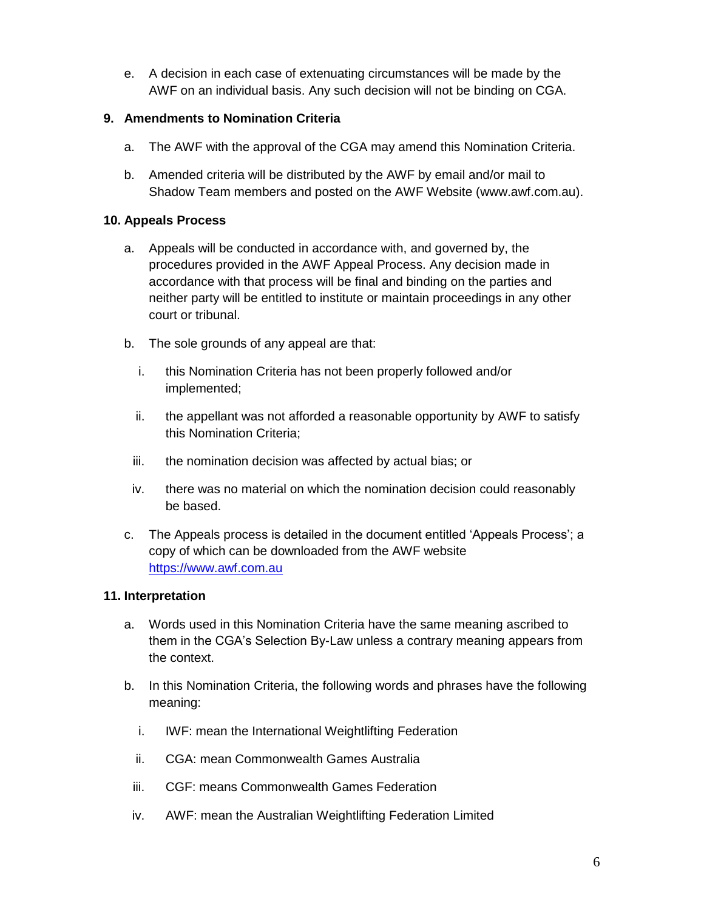e. A decision in each case of extenuating circumstances will be made by the AWF on an individual basis. Any such decision will not be binding on CGA.

# **9. Amendments to Nomination Criteria**

- a. The AWF with the approval of the CGA may amend this Nomination Criteria.
- b. Amended criteria will be distributed by the AWF by email and/or mail to Shadow Team members and posted on the AWF Website [\(www.awf.com.au\)](http://www.awf.com.au/).

### **10. Appeals Process**

- a. Appeals will be conducted in accordance with, and governed by, the procedures provided in the AWF Appeal Process. Any decision made in accordance with that process will be final and binding on the parties and neither party will be entitled to institute or maintain proceedings in any other court or tribunal.
- b. The sole grounds of any appeal are that:
	- i. this Nomination Criteria has not been properly followed and/or implemented;
	- ii. the appellant was not afforded a reasonable opportunity by AWF to satisfy this Nomination Criteria;
	- iii. the nomination decision was affected by actual bias; or
	- iv. there was no material on which the nomination decision could reasonably be based.
- c. The Appeals process is detailed in the document entitled 'Appeals Process'; a copy of which can be downloaded from the AWF website [https://www.awf.com.au](https://www.awf.com.au/)

#### **11. Interpretation**

- a. Words used in this Nomination Criteria have the same meaning ascribed to them in the CGA's Selection By-Law unless a contrary meaning appears from the context.
- b. In this Nomination Criteria, the following words and phrases have the following meaning:
	- i. IWF: mean the International Weightlifting Federation
	- ii. CGA: mean Commonwealth Games Australia
	- iii. CGF: means Commonwealth Games Federation
- iv. AWF: mean the Australian Weightlifting Federation Limited